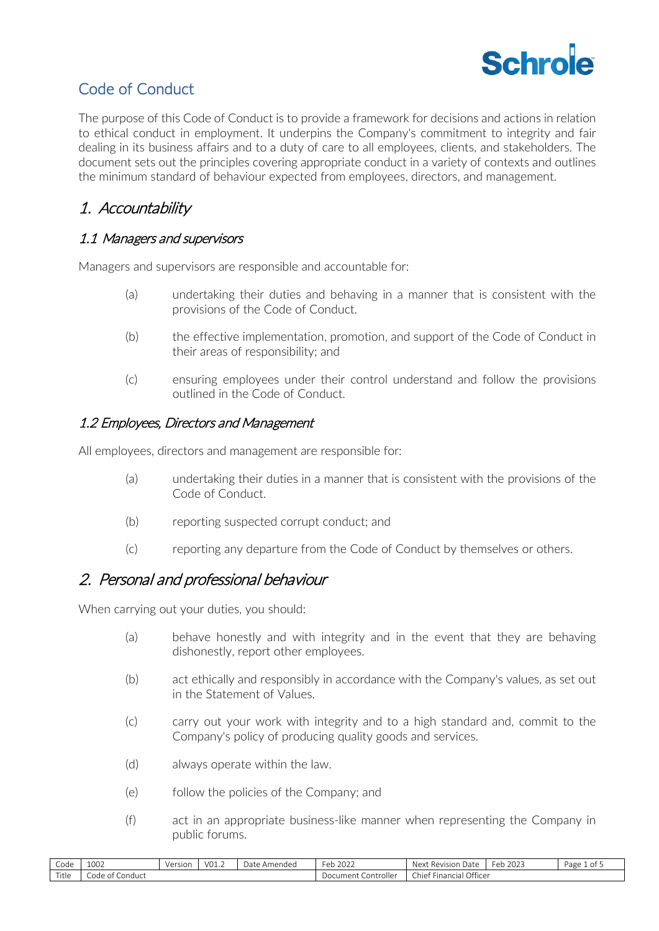

### Code of Conduct

The purpose of this Code of Conduct is to provide a framework for decisions and actions in relation to ethical conduct in employment. It underpins the Company's commitment to integrity and fair dealing in its business affairs and to a duty of care to all employees, clients, and stakeholders. The document sets out the principles covering appropriate conduct in a variety of contexts and outlines the minimum standard of behaviour expected from employees, directors, and management.

### 1. Accountability

#### 1.1 Managers and supervisors

Managers and supervisors are responsible and accountable for:

- (a) undertaking their duties and behaving in a manner that is consistent with the provisions of the Code of Conduct.
- (b) the effective implementation, promotion, and support of the Code of Conduct in their areas of responsibility; and
- (c) ensuring employees under their control understand and follow the provisions outlined in the Code of Conduct.

#### 1.2 Employees, Directors and Management

All employees, directors and management are responsible for:

- (a) undertaking their duties in a manner that is consistent with the provisions of the Code of Conduct.
- (b) reporting suspected corrupt conduct; and
- (c) reporting any departure from the Code of Conduct by themselves or others.

#### 2. Personal and professional behaviour

When carrying out your duties, you should:

- (a) behave honestly and with integrity and in the event that they are behaving dishonestly, report other employees.
- (b) act ethically and responsibly in accordance with the Company's values, as set out in the Statement of Values.
- (c) carry out your work with integrity and to a high standard and, commit to the Company's policy of producing quality goods and services.
- (d) always operate within the law.
- (e) follow the policies of the Company; and
- (f) act in an appropriate business-like manner when representing the Company in public forums.

| $\sim$<br>Code | 100 <sup>2</sup><br>1002     | Version<br>1 J J J J J | V01.2 | Amended<br>Date | $\sim$ $\sim$ $\sim$<br>Feb<br>ZUZZ | Revision<br><b>Next</b><br>Date | -<br>2023<br>-eb | Page<br>.ot |
|----------------|------------------------------|------------------------|-------|-----------------|-------------------------------------|---------------------------------|------------------|-------------|
| Title          | Conduct<br>$-+$<br>∟ode of ⊆ |                        |       |                 | Controller<br>Document (            | Financial Officer<br>Chiet      |                  |             |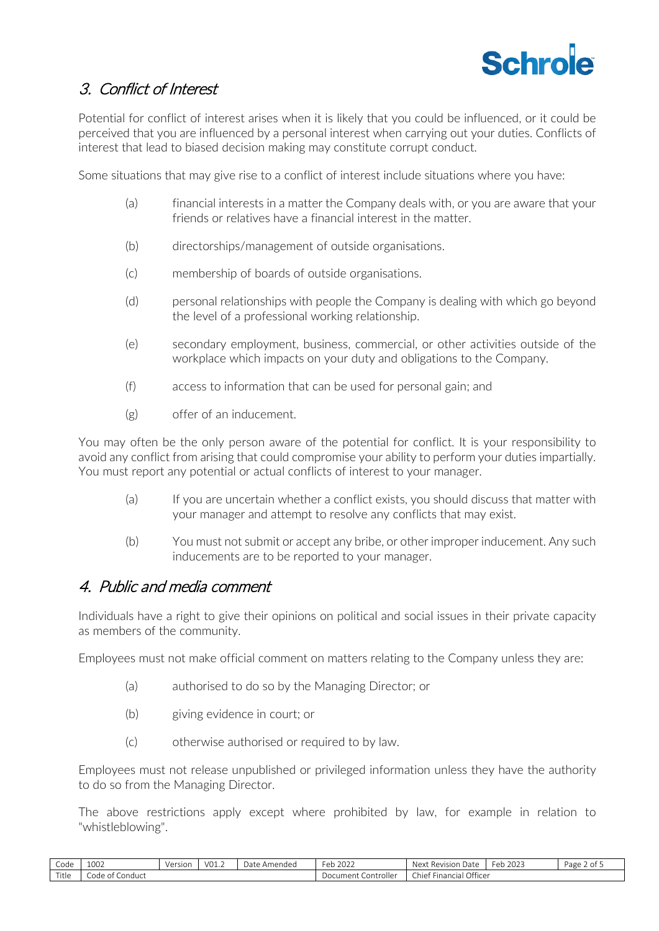

# 3. Conflict of Interest

Potential for conflict of interest arises when it is likely that you could be influenced, or it could be perceived that you are influenced by a personal interest when carrying out your duties. Conflicts of interest that lead to biased decision making may constitute corrupt conduct.

Some situations that may give rise to a conflict of interest include situations where you have:

- (a) financial interests in a matter the Company deals with, or you are aware that your friends or relatives have a financial interest in the matter.
- (b) directorships/management of outside organisations.
- (c) membership of boards of outside organisations.
- (d) personal relationships with people the Company is dealing with which go beyond the level of a professional working relationship.
- (e) secondary employment, business, commercial, or other activities outside of the workplace which impacts on your duty and obligations to the Company.
- (f) access to information that can be used for personal gain; and
- (g) offer of an inducement.

You may often be the only person aware of the potential for conflict. It is your responsibility to avoid any conflict from arising that could compromise your ability to perform your duties impartially. You must report any potential or actual conflicts of interest to your manager.

- (a) If you are uncertain whether a conflict exists, you should discuss that matter with your manager and attempt to resolve any conflicts that may exist.
- (b) You must not submit or accept any bribe, or other improper inducement. Any such inducements are to be reported to your manager.

#### 4. Public and media comment

Individuals have a right to give their opinions on political and social issues in their private capacity as members of the community.

Employees must not make official comment on matters relating to the Company unless they are:

- (a) authorised to do so by the Managing Director; or
- (b) giving evidence in court; or
- (c) otherwise authorised or required to by law.

Employees must not release unpublished or privileged information unless they have the authority to do so from the Managing Director.

The above restrictions apply except where prohibited by law, for example in relation to "whistleblowing".

| $\sim$<br>code        | 1002                                   | Version | $\sim$<br>$VU_{\perp,\perp}$ | Date<br>Amended | Feb 2022                 | ı Date<br>Next<br>Revision           | $\sim$<br>2022<br>Feb<br>1 ZUZ3 | Page<br>.∠ot ' |
|-----------------------|----------------------------------------|---------|------------------------------|-----------------|--------------------------|--------------------------------------|---------------------------------|----------------|
| $-$<br>$+1$<br>. itie | $\sim$<br>Code of<br>Conduct -<br>$-+$ |         |                              |                 | . controller<br>Document | Officer<br>. .<br>Financial<br>Chief |                                 |                |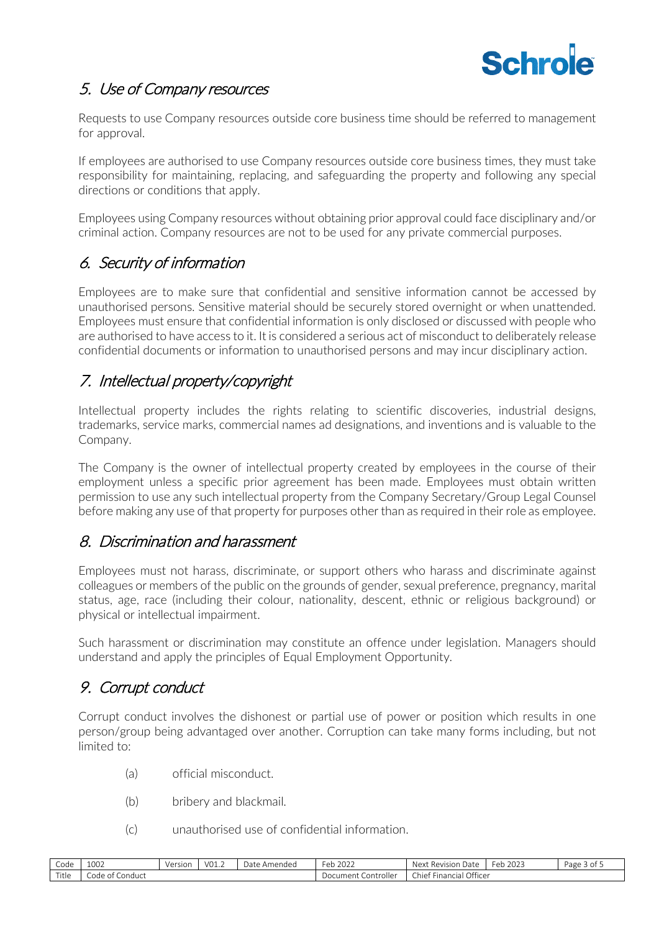

# 5. Use of Company resources

Requests to use Company resources outside core business time should be referred to management for approval.

If employees are authorised to use Company resources outside core business times, they must take responsibility for maintaining, replacing, and safeguarding the property and following any special directions or conditions that apply.

Employees using Company resources without obtaining prior approval could face disciplinary and/or criminal action. Company resources are not to be used for any private commercial purposes.

# 6. Security of information

Employees are to make sure that confidential and sensitive information cannot be accessed by unauthorised persons. Sensitive material should be securely stored overnight or when unattended. Employees must ensure that confidential information is only disclosed or discussed with people who are authorised to have access to it. It is considered a serious act of misconduct to deliberately release confidential documents or information to unauthorised persons and may incur disciplinary action.

## 7. Intellectual property/copyright

Intellectual property includes the rights relating to scientific discoveries, industrial designs, trademarks, service marks, commercial names ad designations, and inventions and is valuable to the Company.

The Company is the owner of intellectual property created by employees in the course of their employment unless a specific prior agreement has been made. Employees must obtain written permission to use any such intellectual property from the Company Secretary/Group Legal Counsel before making any use of that property for purposes other than as required in their role as employee.

### 8. Discrimination and harassment

Employees must not harass, discriminate, or support others who harass and discriminate against colleagues or members of the public on the grounds of gender, sexual preference, pregnancy, marital status, age, race (including their colour, nationality, descent, ethnic or religious background) or physical or intellectual impairment.

Such harassment or discrimination may constitute an offence under legislation. Managers should understand and apply the principles of Equal Employment Opportunity.

## 9. Corrupt conduct

Corrupt conduct involves the dishonest or partial use of power or position which results in one person/group being advantaged over another. Corruption can take many forms including, but not limited to:

- (a) official misconduct.
- (b) bribery and blackmail.
- (c) unauthorised use of confidential information.

| Code  | 1002                 | Versior | V <sub>01.2</sub> | Date<br>`Amendea | $\sim$<br>2022<br>⊦≏r<br>. . L J | $\sim$<br>Next<br>: Revision<br>ı Date | eb 2023 <del>:</del><br>⊢eh. | Page $3$ of $\ldots$ |
|-------|----------------------|---------|-------------------|------------------|----------------------------------|----------------------------------------|------------------------------|----------------------|
| Title | Conduct<br>code of 1 |         |                   |                  | . controller<br>' ocument-       | Officer<br>Chief<br>Financial          |                              |                      |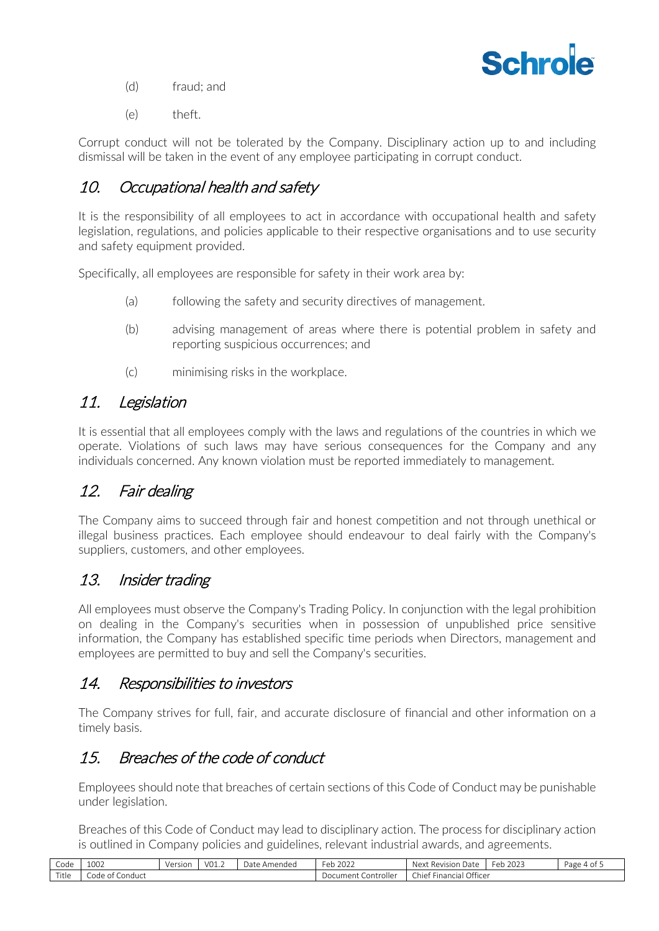

- (d) fraud; and
- (e) theft.

Corrupt conduct will not be tolerated by the Company. Disciplinary action up to and including dismissal will be taken in the event of any employee participating in corrupt conduct.

### 10. Occupational health and safety

It is the responsibility of all employees to act in accordance with occupational health and safety legislation, regulations, and policies applicable to their respective organisations and to use security and safety equipment provided.

Specifically, all employees are responsible for safety in their work area by:

- (a) following the safety and security directives of management.
- (b) advising management of areas where there is potential problem in safety and reporting suspicious occurrences; and
- (c) minimising risks in the workplace.

### 11. Legislation

It is essential that all employees comply with the laws and regulations of the countries in which we operate. Violations of such laws may have serious consequences for the Company and any individuals concerned. Any known violation must be reported immediately to management.

## 12. Fair dealing

The Company aims to succeed through fair and honest competition and not through unethical or illegal business practices. Each employee should endeavour to deal fairly with the Company's suppliers, customers, and other employees.

### 13. Insider trading

All employees must observe the Company's Trading Policy. In conjunction with the legal prohibition on dealing in the Company's securities when in possession of unpublished price sensitive information, the Company has established specific time periods when Directors, management and employees are permitted to buy and sell the Company's securities.

#### 14. Responsibilities to investors

The Company strives for full, fair, and accurate disclosure of financial and other information on a timely basis.

# 15. Breaches of the code of conduct

Employees should note that breaches of certain sections of this Code of Conduct may be punishable under legislation.

Breaches of this Code of Conduct may lead to disciplinary action. The process for disciplinary action is outlined in Company policies and guidelines, relevant industrial awards, and agreements.

| $\sim$<br>Code | 1002                  | Version | $1/\Omega$ <sup>1</sup><br>. | )ate<br>Amendec | $\sim$<br>$\sim$ $\sim$ $\sim$<br>Feb<br>2022 | $+ -$<br>Next<br>Revision<br>- IJdte | 2023<br>Feb | Page 4<br>0T |
|----------------|-----------------------|---------|------------------------------|-----------------|-----------------------------------------------|--------------------------------------|-------------|--------------|
| Title          | Conduct<br>Code<br>ΩŤ |         |                              |                 | Controllei<br>∵r∩ll∆r<br>Document             | Financial Officer<br>Chief           |             |              |